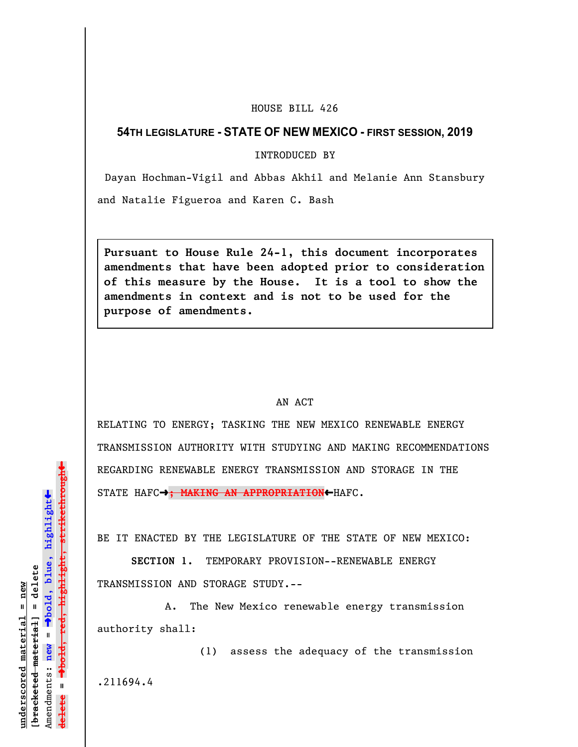## HOUSE BILL 426

## **54TH LEGISLATURE - STATE OF NEW MEXICO - FIRST SESSION, 2019**

INTRODUCED BY

Dayan Hochman-Vigil and Abbas Akhil and Melanie Ann Stansbury

and Natalie Figueroa and Karen C. Bash

**Pursuant to House Rule 24-1, this document incorporates amendments that have been adopted prior to consideration of this measure by the House. It is a tool to show the amendments in context and is not to be used for the purpose of amendments.** 

## AN ACT

RELATING TO ENERGY; TASKING THE NEW MEXICO RENEWABLE ENERGY TRANSMISSION AUTHORITY WITH STUDYING AND MAKING RECOMMENDATIONS REGARDING RENEWABLE ENERGY TRANSMISSION AND STORAGE IN THE STATE HAFC-<sup>3</sup>; MAKING AN APPROPRIATION←HAFC.

BE IT ENACTED BY THE LEGISLATURE OF THE STATE OF NEW MEXICO:

**SECTION 1.** TEMPORARY PROVISION--RENEWABLE ENERGY TRANSMISSION AND STORAGE STUDY.--

A. The New Mexico renewable energy transmission authority shall:

(1) assess the adequacy of the transmission

.211694.4

 $\ddag$ º**bold, red, highlight, strikethrough**  $\ddot{\bullet}$ º**bold, blue, highlight**  $b$ racketed material] = delete **[bracketed material] = delete** inderscored material = new **underscored material = new** Amendments: **new** =  $\mathbf{u}$ **delete =** lelete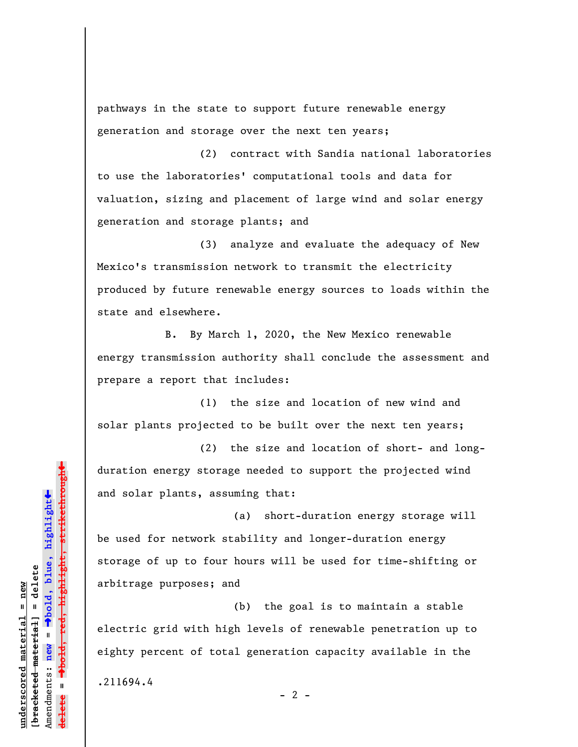pathways in the state to support future renewable energy generation and storage over the next ten years;

(2) contract with Sandia national laboratories to use the laboratories' computational tools and data for valuation, sizing and placement of large wind and solar energy generation and storage plants; and

(3) analyze and evaluate the adequacy of New Mexico's transmission network to transmit the electricity produced by future renewable energy sources to loads within the state and elsewhere.

B. By March 1, 2020, the New Mexico renewable energy transmission authority shall conclude the assessment and prepare a report that includes:

(1) the size and location of new wind and solar plants projected to be built over the next ten years;

(2) the size and location of short- and longduration energy storage needed to support the projected wind and solar plants, assuming that:

(a) short-duration energy storage will be used for network stability and longer-duration energy storage of up to four hours will be used for time-shifting or arbitrage purposes; and

(b) the goal is to maintain a stable electric grid with high levels of renewable penetration up to eighty percent of total generation capacity available in the

 $- 2 -$ 

.211694.4

º**bold, red, highlight, strikethrough**  $\ddot{\bullet}$ º**bold, blue, highlight** bracketed material] = delete **[bracketed material] = delete** mderscored material = new **underscored material = new** Amendments: **new** =  $\mathbf{u}$ Amendments: new **delete =**

»